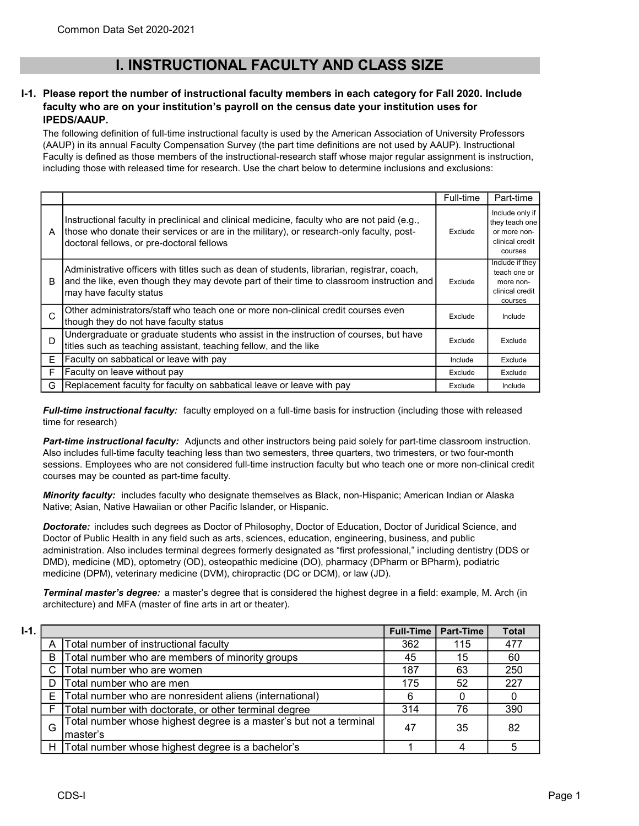# I. INSTRUCTIONAL FACULTY AND CLASS SIZE

### I-1. Please report the number of instructional faculty members in each category for Fall 2020. Include faculty who are on your institution's payroll on the census date your institution uses for IPEDS/AAUP.

The following definition of full-time instructional faculty is used by the American Association of University Professors (AAUP) in its annual Faculty Compensation Survey (the part time definitions are not used by AAUP). Instructional Faculty is defined as those members of the instructional-research staff whose major regular assignment is instruction, including those with released time for research. Use the chart below to determine inclusions and exclusions:

|   |                                                                                                                                                                                                                                      | Full-time | Part-time                                                                       |
|---|--------------------------------------------------------------------------------------------------------------------------------------------------------------------------------------------------------------------------------------|-----------|---------------------------------------------------------------------------------|
| A | Instructional faculty in preclinical and clinical medicine, faculty who are not paid (e.g.,<br>those who donate their services or are in the military), or research-only faculty, post-<br>doctoral fellows, or pre-doctoral fellows | Exclude   | Include only if<br>they teach one<br>or more non-<br>clinical credit<br>courses |
| B | Administrative officers with titles such as dean of students, librarian, registrar, coach,<br>and the like, even though they may devote part of their time to classroom instruction and<br>may have faculty status                   | Exclude   | Include if they<br>teach one or<br>more non-<br>clinical credit<br>courses      |
| C | Other administrators/staff who teach one or more non-clinical credit courses even<br>though they do not have faculty status                                                                                                          | Exclude   | Include                                                                         |
| D | Undergraduate or graduate students who assist in the instruction of courses, but have<br>titles such as teaching assistant, teaching fellow, and the like                                                                            | Exclude   | Exclude                                                                         |
| Е | Faculty on sabbatical or leave with pay                                                                                                                                                                                              | Include   | Exclude                                                                         |
| F | Faculty on leave without pay                                                                                                                                                                                                         | Exclude   | Exclude                                                                         |
| G | Replacement faculty for faculty on sabbatical leave or leave with pay                                                                                                                                                                | Exclude   | Include                                                                         |

Full-time instructional faculty: faculty employed on a full-time basis for instruction (including those with released time for research)

Part-time instructional faculty: Adjuncts and other instructors being paid solely for part-time classroom instruction. Also includes full-time faculty teaching less than two semesters, three quarters, two trimesters, or two four-month sessions. Employees who are not considered full-time instruction faculty but who teach one or more non-clinical credit courses may be counted as part-time faculty.

Minority faculty: includes faculty who designate themselves as Black, non-Hispanic; American Indian or Alaska Native; Asian, Native Hawaiian or other Pacific Islander, or Hispanic.

Doctorate: includes such degrees as Doctor of Philosophy, Doctor of Education, Doctor of Juridical Science, and Doctor of Public Health in any field such as arts, sciences, education, engineering, business, and public administration. Also includes terminal degrees formerly designated as "first professional," including dentistry (DDS or DMD), medicine (MD), optometry (OD), osteopathic medicine (DO), pharmacy (DPharm or BPharm), podiatric medicine (DPM), veterinary medicine (DVM), chiropractic (DC or DCM), or law (JD).

Terminal master's degree: a master's degree that is considered the highest degree in a field: example, M. Arch (in architecture) and MFA (master of fine arts in art or theater).

| $I-1.$ |   |                                                                                | <b>Full-Time</b> | <b>Part-Time</b> | <b>Total</b> |
|--------|---|--------------------------------------------------------------------------------|------------------|------------------|--------------|
|        | Α | Total number of instructional faculty                                          | 362              | 115              | 477          |
|        | B | Total number who are members of minority groups                                | 45               | 15               | 60           |
|        |   | Total number who are women                                                     | 187              | 63               | 250          |
|        | D | Total number who are men                                                       | 175              | 52               | 227          |
|        | E | Total number who are nonresident aliens (international)                        | 6                |                  |              |
|        | F | Total number with doctorate, or other terminal degree                          | 314              | 76               | 390          |
|        | G | Total number whose highest degree is a master's but not a terminal<br>master's | 47               | 35               | 82           |
|        | н | Total number whose highest degree is a bachelor's                              |                  |                  |              |